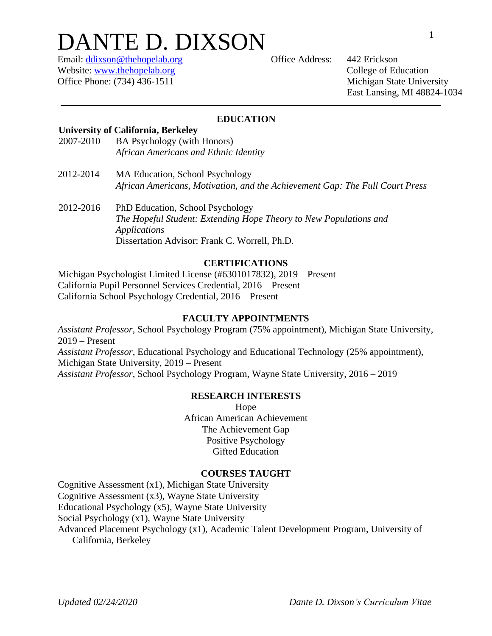# DANTE D. DIXSON

Email: [ddixson@thehopelab.org](mailto:ddixson@thehopelab.org) Office Address: 442 Erickson Website: [www.thehopelab.org](http://www.thehopelab.org/) College of Education Office Phone: (734) 436-1511 Michigan State University

East Lansing, MI 48824-1034

# **EDUCATION**

# **University of California, Berkeley**

- 2007-2010 BA Psychology (with Honors) *African Americans and Ethnic Identity*
- 2012-2014 MA Education, School Psychology *African Americans, Motivation, and the Achievement Gap: The Full Court Press*
- 2012-2016 PhD Education, School Psychology *The Hopeful Student: Extending Hope Theory to New Populations and Applications* Dissertation Advisor: Frank C. Worrell, Ph.D.

# **CERTIFICATIONS**

Michigan Psychologist Limited License (#6301017832), 2019 – Present California Pupil Personnel Services Credential, 2016 – Present California School Psychology Credential, 2016 – Present

## **FACULTY APPOINTMENTS**

*Assistant Professor*, School Psychology Program (75% appointment), Michigan State University, 2019 – Present *Assistant Professor*, Educational Psychology and Educational Technology (25% appointment), Michigan State University, 2019 – Present *Assistant Professor*, School Psychology Program, Wayne State University, 2016 – 2019

# **RESEARCH INTERESTS**

Hope African American Achievement The Achievement Gap Positive Psychology Gifted Education

#### **COURSES TAUGHT**

Cognitive Assessment (x1), Michigan State University Cognitive Assessment (x3), Wayne State University Educational Psychology (x5), Wayne State University Social Psychology (x1), Wayne State University Advanced Placement Psychology (x1), Academic Talent Development Program, University of California, Berkeley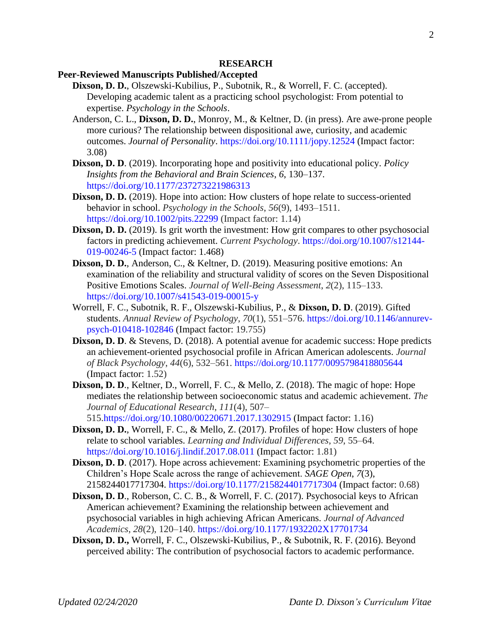#### **RESEARCH**

# **Peer-Reviewed Manuscripts Published/Accepted**

- **Dixson, D. D.**, Olszewski-Kubilius, P., Subotnik, R., & Worrell, F. C. (accepted). Developing academic talent as a practicing school psychologist: From potential to expertise. *Psychology in the Schools*.
- Anderson, C. L., **Dixson, D. D.**, Monroy, M., & Keltner, D. (in press). Are awe-prone people more curious? The relationship between dispositional awe, curiosity, and academic outcomes. *Journal of Personality*. <https://doi.org/10.1111/jopy.12524> (Impact factor: 3.08)
- **Dixson, D. D**. (2019). Incorporating hope and positivity into educational policy. *Policy Insights from the Behavioral and Brain Sciences*, *6*, 130–137. <https://doi.org/10.1177/237273221986313>
- **Dixson, D. D.** (2019). Hope into action: How clusters of hope relate to success-oriented behavior in school. *Psychology in the Schools*, *56*(9), 1493–1511. <https://doi.org/10.1002/pits.22299> (Impact factor: 1.14)
- **Dixson, D. D.** (2019). Is grit worth the investment: How grit compares to other psychosocial factors in predicting achievement. *Current Psychology*. [https://doi.org/10.1007/s12144-](https://doi.org/10.1007/s12144-019-00246-5) [019-00246-5](https://doi.org/10.1007/s12144-019-00246-5) (Impact factor: 1.468)
- **Dixson, D. D.**, Anderson, C., & Keltner, D. (2019). Measuring positive emotions: An examination of the reliability and structural validity of scores on the Seven Dispositional Positive Emotions Scales. *Journal of Well-Being Assessment*, *2*(2), 115–133. <https://doi.org/10.1007/s41543-019-00015-y>
- Worrell, F. C., Subotnik, R. F., Olszewski-Kubilius, P., & **Dixson, D. D**. (2019). Gifted students. *Annual Review of Psychology*, *70*(1), 551–576. [https://doi.org/10.1146/annurev](https://doi.org/10.1146/annurev-psych-010418-102846)[psych-010418-102846](https://doi.org/10.1146/annurev-psych-010418-102846) (Impact factor: 19.755)
- **Dixson, D. D.** & Stevens, D. (2018). A potential avenue for academic success: Hope predicts an achievement-oriented psychosocial profile in African American adolescents. *Journal of Black Psychology*, *44*(6), 532–561.<https://doi.org/10.1177/0095798418805644> (Impact factor: 1.52)
- **Dixson, D. D**., Keltner, D., Worrell, F. C., & Mello, Z. (2018). The magic of hope: Hope mediates the relationship between socioeconomic status and academic achievement. *The Journal of Educational Research*, *111*(4), 507– 515[.https://doi.org/10.1080/00220671.2017.1302915](https://doi.org/10.1080/00220671.2017.1302915) (Impact factor: 1.16)
- **Dixson, D. D.**, Worrell, F. C., & Mello, Z. (2017). Profiles of hope: How clusters of hope relate to school variables. *Learning and Individual Differences*, *59*, 55–64. <https://doi.org/10.1016/j.lindif.2017.08.011> (Impact factor: 1.81)
- **Dixson, D. D.** (2017). Hope across achievement: Examining psychometric properties of the Children's Hope Scale across the range of achievement. *SAGE Open*, *7*(3), 2158244017717304.<https://doi.org/10.1177/2158244017717304> (Impact factor: 0.68)
- **Dixson, D. D**., Roberson, C. C. B., & Worrell, F. C. (2017). Psychosocial keys to African American achievement? Examining the relationship between achievement and psychosocial variables in high achieving African Americans. *Journal of Advanced Academics*, *28*(2), 120–140.<https://doi.org/10.1177/1932202X17701734>
- **Dixson, D. D.,** Worrell, F. C., Olszewski-Kubilius, P., & Subotnik, R. F. (2016). Beyond perceived ability: The contribution of psychosocial factors to academic performance.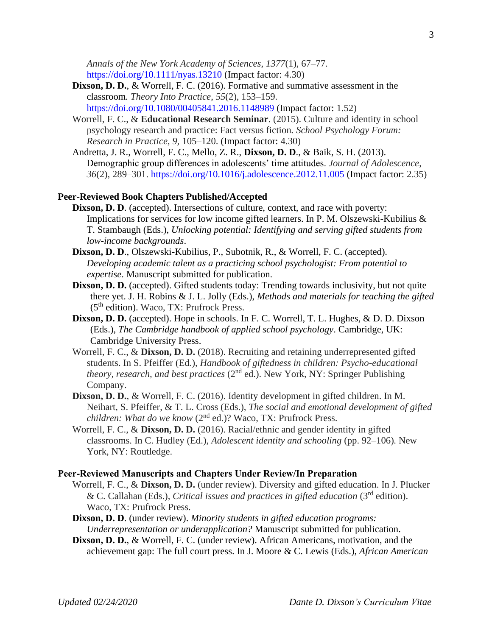*Annals of the New York Academy of Sciences*, *1377*(1), 67–77. <https://doi.org/10.1111/nyas.13210> (Impact factor: 4.30)

- **Dixson, D. D.**, & Worrell, F. C. (2016). Formative and summative assessment in the classroom*. Theory Into Practice*, *55*(2), 153–159. <https://doi.org/10.1080/00405841.2016.1148989> (Impact factor: 1.52)
- Worrell, F. C., & **Educational Research Seminar**. (2015). Culture and identity in school psychology research and practice: Fact versus fiction*. School Psychology Forum: Research in Practice, 9,* 105–120. (Impact factor: 4.30)
- Andretta, J. R., Worrell, F. C., Mello, Z. R., **Dixson, D. D**., & Baik, S. H. (2013). Demographic group differences in adolescents' time attitudes. *Journal of Adolescence*, *36*(2), 289–301.<https://doi.org/10.1016/j.adolescence.2012.11.005> (Impact factor: 2.35)

#### **Peer-Reviewed Book Chapters Published/Accepted**

- **Dixson, D. D**. (accepted). Intersections of culture, context, and race with poverty: Implications for services for low income gifted learners. In P. M. Olszewski-Kubilius  $\&$ T. Stambaugh (Eds.), *Unlocking potential: Identifying and serving gifted students from low-income backgrounds*.
- **Dixson, D. D**., Olszewski-Kubilius, P., Subotnik, R., & Worrell, F. C. (accepted). *Developing academic talent as a practicing school psychologist: From potential to expertise*. Manuscript submitted for publication.
- **Dixson, D. D.** (accepted). Gifted students today: Trending towards inclusivity, but not quite there yet. J. H. Robins & J. L. Jolly (Eds.), *Methods and materials for teaching the gifted* (5th edition). Waco, TX: Prufrock Press.
- **Dixson, D. D.** (accepted). Hope in schools. In F. C. Worrell, T. L. Hughes, & D. D. Dixson (Eds.), *The Cambridge handbook of applied school psychology*. Cambridge, UK: Cambridge University Press.
- Worrell, F. C., & **Dixson, D. D.** (2018). Recruiting and retaining underrepresented gifted students. In S. Pfeiffer (Ed.), *Handbook of giftedness in children: Psycho-educational theory, research, and best practices* (2nd ed.). New York, NY: Springer Publishing Company.
- **Dixson, D. D.**, & Worrell, F. C. (2016). Identity development in gifted children. In M. Neihart, S. Pfeiffer, & T. L. Cross (Eds.), *The social and emotional development of gifted children: What do we know* (2<sup>nd</sup> ed.)? Waco, TX: Prufrock Press.
- Worrell, F. C., & **Dixson, D. D.** (2016). Racial/ethnic and gender identity in gifted classrooms. In C. Hudley (Ed.), *Adolescent identity and schooling* (pp. 92–106)*.* New York, NY: Routledge.

#### **Peer-Reviewed Manuscripts and Chapters Under Review/In Preparation**

- Worrell, F. C., & **Dixson, D. D.** (under review). Diversity and gifted education. In J. Plucker & C. Callahan (Eds.), *Critical issues and practices in gifted education* (3rd edition). Waco, TX: Prufrock Press.
- **Dixson, D. D**. (under review). *Minority students in gifted education programs: Underrepresentation or underapplication?* Manuscript submitted for publication.
- **Dixson, D. D.**, & Worrell, F. C. (under review). African Americans, motivation, and the achievement gap: The full court press. In J. Moore & C. Lewis (Eds.), *African American*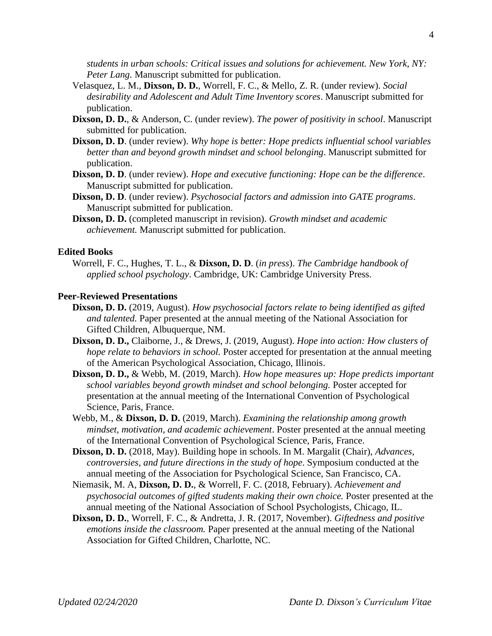*students in urban schools: Critical issues and solutions for achievement. New York, NY: Peter Lang.* Manuscript submitted for publication.

- Velasquez, L. M., **Dixson, D. D.**, Worrell, F. C., & Mello, Z. R. (under review). *Social desirability and Adolescent and Adult Time Inventory scores*. Manuscript submitted for publication.
- **Dixson, D. D.**, & Anderson, C. (under review). *The power of positivity in school*. Manuscript submitted for publication.
- **Dixson, D. D**. (under review). *Why hope is better: Hope predicts influential school variables better than and beyond growth mindset and school belonging*. Manuscript submitted for publication.
- **Dixson, D. D**. (under review). *Hope and executive functioning: Hope can be the difference*. Manuscript submitted for publication.
- **Dixson, D. D**. (under review). *Psychosocial factors and admission into GATE programs*. Manuscript submitted for publication.
- **Dixson, D. D.** (completed manuscript in revision). *Growth mindset and academic achievement.* Manuscript submitted for publication.

#### **Edited Books**

Worrell, F. C., Hughes, T. L., & **Dixson, D. D**. (*in press*). *The Cambridge handbook of applied school psychology*. Cambridge, UK: Cambridge University Press.

# **Peer-Reviewed Presentations**

- **Dixson, D. D.** (2019, August). *How psychosocial factors relate to being identified as gifted and talented.* Paper presented at the annual meeting of the National Association for Gifted Children, Albuquerque, NM.
- **Dixson, D. D.,** Claiborne, J., & Drews, J. (2019, August). *Hope into action: How clusters of hope relate to behaviors in school.* Poster accepted for presentation at the annual meeting of the American Psychological Association, Chicago, Illinois.
- **Dixson, D. D.,** & Webb, M. (2019, March). *How hope measures up: Hope predicts important school variables beyond growth mindset and school belonging.* Poster accepted for presentation at the annual meeting of the International Convention of Psychological Science, Paris, France.
- Webb, M., & **Dixson, D. D.** (2019, March). *Examining the relationship among growth mindset, motivation, and academic achievement*. Poster presented at the annual meeting of the International Convention of Psychological Science, Paris, France.
- **Dixson, D. D.** (2018, May). Building hope in schools. In M. Margalit (Chair), *Advances, controversies, and future directions in the study of hope*. Symposium conducted at the annual meeting of the Association for Psychological Science, San Francisco, CA.
- Niemasik, M. A, **Dixson, D. D.**, & Worrell, F. C. (2018, February). *Achievement and psychosocial outcomes of gifted students making their own choice.* Poster presented at the annual meeting of the National Association of School Psychologists, Chicago, IL.
- **Dixson, D. D.**, Worrell, F. C., & Andretta, J. R. (2017, November). *Giftedness and positive emotions inside the classroom.* Paper presented at the annual meeting of the National Association for Gifted Children, Charlotte, NC.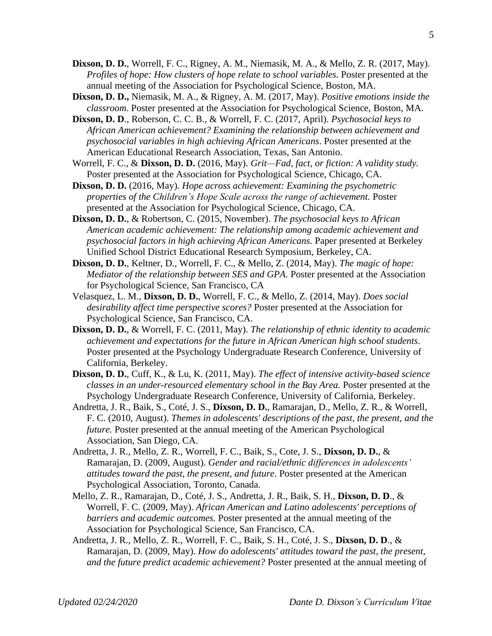- **Dixson, D. D.**, Worrell, F. C., Rigney, A. M., Niemasik, M. A., & Mello, Z. R. (2017, May). *Profiles of hope: How clusters of hope relate to school variables.* Poster presented at the annual meeting of the Association for Psychological Science, Boston, MA.
- **Dixson, D. D.,** Niemasik, M. A., & Rigney, A. M. (2017, May). *Positive emotions inside the classroom*. Poster presented at the Association for Psychological Science, Boston, MA.
- **Dixson, D. D**., Roberson, C. C. B., & Worrell, F. C. (2017, April). *Psychosocial keys to African American achievement? Examining the relationship between achievement and psychosocial variables in high achieving African Americans*. Poster presented at the American Educational Research Association, Texas, San Antonio.
- Worrell, F. C., & **Dixson, D. D.** (2016, May). *Grit—Fad, fact, or fiction: A validity study.* Poster presented at the Association for Psychological Science, Chicago, CA.
- **Dixson, D. D.** (2016, May). *Hope across achievement: Examining the psychometric properties of the Children's Hope Scale across the range of achievement.* Poster presented at the Association for Psychological Science, Chicago, CA.
- **Dixson, D. D.**, & Robertson, C. (2015, November). *The psychosocial keys to African American academic achievement: The relationship among academic achievement and psychosocial factors in high achieving African Americans.* Paper presented at Berkeley Unified School District Educational Research Symposium, Berkeley, CA.
- **Dixson, D. D.**, Keltner, D., Worrell, F. C., & Mello, Z. (2014, May). *The magic of hope: Mediator of the relationship between SES and GPA.* Poster presented at the Association for Psychological Science, San Francisco, CA
- Velasquez, L. M., **Dixson, D. D.**, Worrell, F. C., & Mello, Z. (2014, May). *Does social desirability affect time perspective scores?* Poster presented at the Association for Psychological Science, San Francisco, CA.
- **Dixson, D. D.**, & Worrell, F. C. (2011, May). *The relationship of ethnic identity to academic achievement and expectations for the future in African American high school students.* Poster presented at the Psychology Undergraduate Research Conference, University of California, Berkeley.
- **Dixson, D. D.**, Cuff, K., & Lu, K. (2011, May). *The effect of intensive activity-based science classes in an under-resourced elementary school in the Bay Area.* Poster presented at the Psychology Undergraduate Research Conference, University of California, Berkeley.
- Andretta, J. R., Baik, S., Coté, J. S., **Dixson, D. D.**, Ramarajan, D., Mello, Z. R., & Worrell, F. C. (2010, August). *Themes in adolescents' descriptions of the past, the present, and the future.* Poster presented at the annual meeting of the American Psychological Association, San Diego, CA.
- Andretta, J. R., Mello, Z. R., Worrell, F. C., Baik, S., Cote, J. S., **Dixson, D. D.**, & Ramarajan, D. (2009, August). *Gender and racial/ethnic differences in adolescents' attitudes toward the past, the present, and future*. Poster presented at the American Psychological Association, Toronto, Canada.
- Mello, Z. R., Ramarajan, D., Coté, J. S., Andretta, J. R., Baik, S. H., **Dixson, D. D**., & Worrell, F. C. (2009, May). *African American and Latino adolescents' perceptions of barriers and academic outcomes.* Poster presented at the annual meeting of the Association for Psychological Science, San Francisco, CA.
- Andretta, J. R., Mello, Z. R., Worrell, F. C., Baik, S. H., Coté, J. S., **Dixson, D. D**., & Ramarajan, D. (2009, May). *How do adolescents' attitudes toward the past, the present, and the future predict academic achievement?* Poster presented at the annual meeting of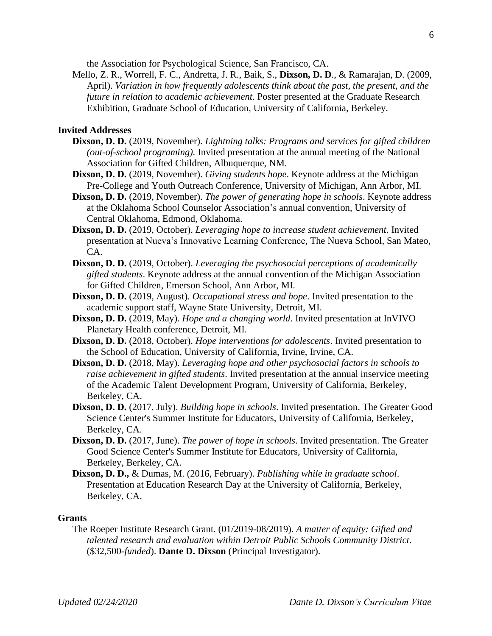the Association for Psychological Science, San Francisco, CA.

Mello, Z. R., Worrell, F. C., Andretta, J. R., Baik, S., **Dixson, D. D**., & Ramarajan, D. (2009, April). *Variation in how frequently adolescents think about the past, the present, and the future in relation to academic achievement*. Poster presented at the Graduate Research Exhibition, Graduate School of Education, University of California, Berkeley.

# **Invited Addresses**

- **Dixson, D. D.** (2019, November). *Lightning talks: Programs and services for gifted children (out-of-school programing).* Invited presentation at the annual meeting of the National Association for Gifted Children, Albuquerque, NM.
- **Dixson, D. D.** (2019, November). *Giving students hope*. Keynote address at the Michigan Pre-College and Youth Outreach Conference, University of Michigan, Ann Arbor, MI.
- **Dixson, D. D.** (2019, November). *The power of generating hope in schools*. Keynote address at the Oklahoma School Counselor Association's annual convention, University of Central Oklahoma, Edmond, Oklahoma.
- **Dixson, D. D.** (2019, October). *Leveraging hope to increase student achievement*. Invited presentation at Nueva's Innovative Learning Conference, The Nueva School, San Mateo, CA.
- **Dixson, D. D.** (2019, October). *Leveraging the psychosocial perceptions of academically gifted students*. Keynote address at the annual convention of the Michigan Association for Gifted Children, Emerson School, Ann Arbor, MI.
- **Dixson, D. D.** (2019, August). *Occupational stress and hope*. Invited presentation to the academic support staff, Wayne State University, Detroit, MI.
- **Dixson, D. D.** (2019, May). *Hope and a changing world*. Invited presentation at InVIVO Planetary Health conference, Detroit, MI.
- **Dixson, D. D.** (2018, October). *Hope interventions for adolescents*. Invited presentation to the School of Education, University of California, Irvine, Irvine, CA.
- **Dixson, D. D.** (2018, May). *Leveraging hope and other psychosocial factors in schools to raise achievement in gifted students*. Invited presentation at the annual inservice meeting of the Academic Talent Development Program, University of California, Berkeley, Berkeley, CA.
- **Dixson, D. D.** (2017, July). *Building hope in schools*. Invited presentation. The Greater Good Science Center's Summer Institute for Educators, University of California, Berkeley, Berkeley, CA.
- **Dixson, D. D.** (2017, June). *The power of hope in schools*. Invited presentation. The Greater Good Science Center's Summer Institute for Educators, University of California, Berkeley, Berkeley, CA.
- **Dixson, D. D.,** & Dumas, M. (2016, February). *Publishing while in graduate school*. Presentation at Education Research Day at the University of California, Berkeley, Berkeley, CA.

#### **Grants**

The Roeper Institute Research Grant. (01/2019-08/2019). *A matter of equity: Gifted and talented research and evaluation within Detroit Public Schools Community District*. (\$32,500-*funded*). **Dante D. Dixson** (Principal Investigator).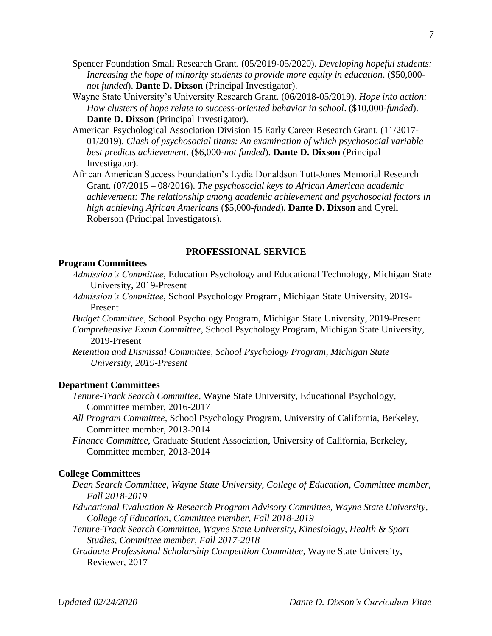- Spencer Foundation Small Research Grant. (05/2019-05/2020). *Developing hopeful students: Increasing the hope of minority students to provide more equity in education*. (\$50,000 *not funded*). **Dante D. Dixson** (Principal Investigator).
- Wayne State University's University Research Grant. (06/2018-05/2019). *Hope into action: How clusters of hope relate to success-oriented behavior in school*. (\$10,000-*funded*). **Dante D. Dixson** (Principal Investigator).
- American Psychological Association Division 15 Early Career Research Grant. (11/2017- 01/2019). *Clash of psychosocial titans: An examination of which psychosocial variable best predicts achievement*. (\$6,000-*not funded*). **Dante D. Dixson** (Principal Investigator).

African American Success Foundation's Lydia Donaldson Tutt-Jones Memorial Research Grant. (07/2015 – 08/2016). *The psychosocial keys to African American academic achievement: The relationship among academic achievement and psychosocial factors in high achieving African Americans* (\$5,000-*funded*)*.* **Dante D. Dixson** and Cyrell Roberson (Principal Investigators).

#### **PROFESSIONAL SERVICE**

#### **Program Committees**

- *Admission's Committee*, Education Psychology and Educational Technology, Michigan State University, 2019-Present
- *Admission's Committee*, School Psychology Program, Michigan State University, 2019- Present
- *Budget Committee*, School Psychology Program, Michigan State University, 2019-Present
- *Comprehensive Exam Committee*, School Psychology Program, Michigan State University, 2019-Present
- *Retention and Dismissal Committee, School Psychology Program, Michigan State University, 2019-Present*

## **Department Committees**

- *Tenure-Track Search Committee*, Wayne State University, Educational Psychology, Committee member, 2016-2017
- *All Program Committee,* School Psychology Program, University of California, Berkeley*,* Committee member, 2013-2014
- *Finance Committee*, Graduate Student Association, University of California, Berkeley*,* Committee member, 2013-2014

## **College Committees**

- *Dean Search Committee, Wayne State University, College of Education, Committee member, Fall 2018-2019*
- *Educational Evaluation & Research Program Advisory Committee, Wayne State University, College of Education, Committee member, Fall 2018-2019*
- *Tenure-Track Search Committee, Wayne State University, Kinesiology, Health & Sport Studies, Committee member, Fall 2017-2018*
- *Graduate Professional Scholarship Competition Committee*, Wayne State University, Reviewer, 2017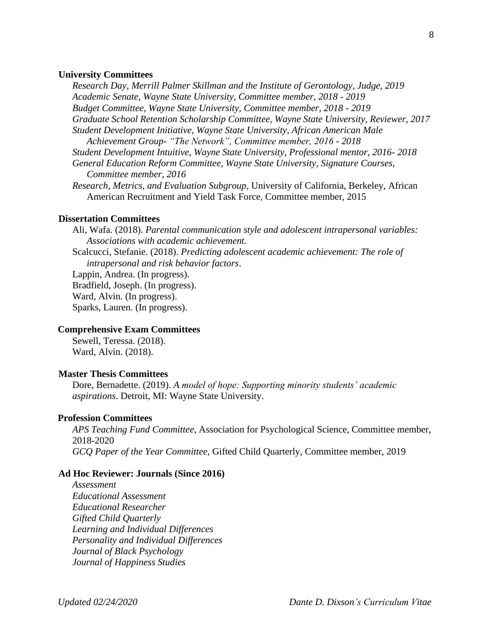#### **University Committees**

*Research Day, Merrill Palmer Skillman and the Institute of Gerontology, Judge, 2019 Academic Senate, Wayne State University, Committee member, 2018 - 2019 Budget Committee, Wayne State University, Committee member, 2018 - 2019 Graduate School Retention Scholarship Committee, Wayne State University, Reviewer, 2017 Student Development Initiative, Wayne State University, African American Male Achievement Group- "The Network", Committee member, 2016 - 2018 Student Development Intuitive, Wayne State University, Professional mentor, 2016- 2018*

*General Education Reform Committee, Wayne State University, Signature Courses, Committee member, 2016*

*Research, Metrics, and Evaluation Subgroup*, University of California, Berkeley, African American Recruitment and Yield Task Force*,* Committee member, 2015

#### **Dissertation Committees**

Ali, Wafa. (2018). *Parental communication style and adolescent intrapersonal variables: Associations with academic achievement.*

Scalcucci, Stefanie. (2018). *Predicting adolescent academic achievement: The role of intrapersonal and risk behavior factors*.

Lappin, Andrea. (In progress). Bradfield, Joseph. (In progress). Ward, Alvin. (In progress). Sparks, Lauren. (In progress).

#### **Comprehensive Exam Committees**

Sewell, Teressa. (2018). Ward, Alvin. (2018).

#### **Master Thesis Committees**

Dore, Bernadette. (2019). *A model of hope: Supporting minority students' academic aspirations*. Detroit, MI: Wayne State University.

#### **Profession Committees**

*APS Teaching Fund Committee*, Association for Psychological Science, Committee member, 2018-2020 *GCQ Paper of the Year Committee*, Gifted Child Quarterly, Committee member, 2019

#### **Ad Hoc Reviewer: Journals (Since 2016)**

*Assessment Educational Assessment Educational Researcher Gifted Child Quarterly Learning and Individual Differences Personality and Individual Differences Journal of Black Psychology Journal of Happiness Studies*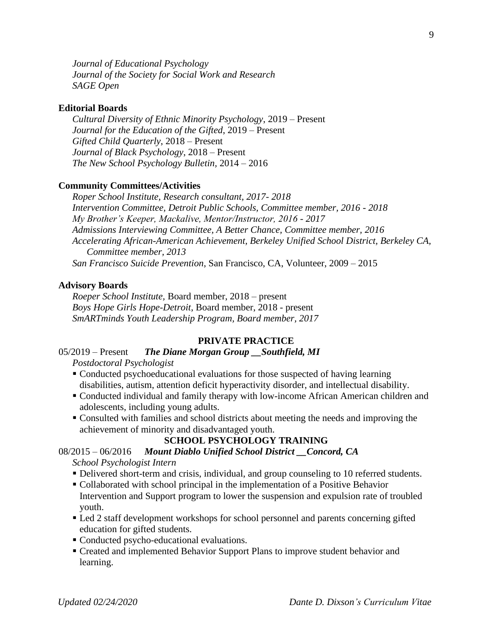*Journal of Educational Psychology Journal of the Society for Social Work and Research SAGE Open*

#### **Editorial Boards**

*Cultural Diversity of Ethnic Minority Psychology*, 2019 – Present *Journal for the Education of the Gifted*, 2019 – Present *Gifted Child Quarterly*, 2018 – Present *Journal of Black Psychology*, 2018 – Present *The New School Psychology Bulletin,* 2014 – 2016

## **Community Committees/Activities**

*Roper School Institute, Research consultant, 2017- 2018 Intervention Committee, Detroit Public Schools, Committee member, 2016 - 2018 My Brother's Keeper, Mackalive, Mentor/Instructor, 2016 - 2017 Admissions Interviewing Committee, A Better Chance, Committee member, 2016 Accelerating African-American Achievement, Berkeley Unified School District, Berkeley CA, Committee member, 2013 San Francisco Suicide Prevention*, San Francisco, CA, Volunteer, 2009 – 2015

#### **Advisory Boards**

*Roeper School Institute,* Board member, 2018 – present *Boys Hope Girls Hope-Detroit*, Board member, 2018 - present *SmARTminds Youth Leadership Program, Board member, 2017*

#### **PRIVATE PRACTICE**

# 05/2019 – Present *The Diane Morgan Group \_\_Southfield, MI*

*Postdoctoral Psychologist*

- Conducted psychoeducational evaluations for those suspected of having learning disabilities, autism, attention deficit hyperactivity disorder, and intellectual disability.
- Conducted individual and family therapy with low-income African American children and adolescents, including young adults.
- Consulted with families and school districts about meeting the needs and improving the achievement of minority and disadvantaged youth.

#### **SCHOOL PSYCHOLOGY TRAINING**

#### 08/2015 – 06/2016 Mount Diablo Unified School District Concord, CA *School Psychologist Intern*

- Delivered short-term and crisis, individual, and group counseling to 10 referred students.
- Collaborated with school principal in the implementation of a Positive Behavior Intervention and Support program to lower the suspension and expulsion rate of troubled youth.
- Led 2 staff development workshops for school personnel and parents concerning gifted education for gifted students.
- Conducted psycho-educational evaluations.
- Created and implemented Behavior Support Plans to improve student behavior and learning.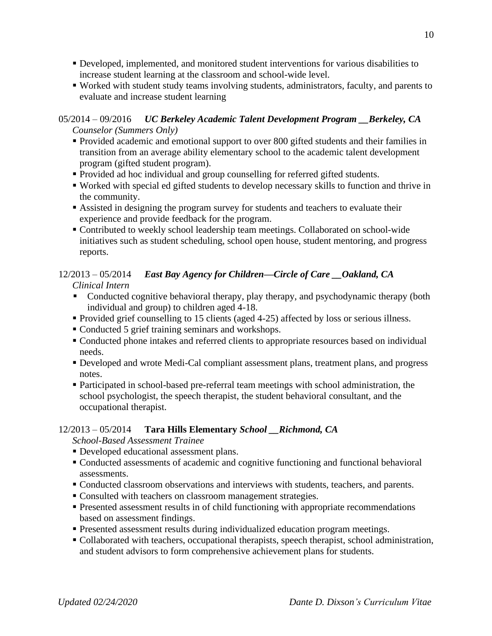- Developed, implemented, and monitored student interventions for various disabilities to increase student learning at the classroom and school-wide level.
- Worked with student study teams involving students, administrators, faculty, and parents to evaluate and increase student learning

# 05/2014 – 09/2016 *UC Berkeley Academic Talent Development Program \_\_Berkeley, CA Counselor (Summers Only)*

- Provided academic and emotional support to over 800 gifted students and their families in transition from an average ability elementary school to the academic talent development program (gifted student program).
- Provided ad hoc individual and group counselling for referred gifted students.
- Worked with special ed gifted students to develop necessary skills to function and thrive in the community.
- Assisted in designing the program survey for students and teachers to evaluate their experience and provide feedback for the program.
- Contributed to weekly school leadership team meetings. Collaborated on school-wide initiatives such as student scheduling, school open house, student mentoring, and progress reports.

# 12/2013 – 05/2014 *East Bay Agency for Children—Circle of Care \_\_Oakland, CA Clinical Intern*

- Conducted cognitive behavioral therapy, play therapy, and psychodynamic therapy (both individual and group) to children aged 4-18.
- Provided grief counselling to 15 clients (aged 4-25) affected by loss or serious illness.
- Conducted 5 grief training seminars and workshops.
- Conducted phone intakes and referred clients to appropriate resources based on individual needs.
- Developed and wrote Medi-Cal compliant assessment plans, treatment plans, and progress notes.
- Participated in school-based pre-referral team meetings with school administration, the school psychologist, the speech therapist, the student behavioral consultant, and the occupational therapist.

# 12/2013 – 05/2014 **Tara Hills Elementary** *School \_\_Richmond, CA*

*School-Based Assessment Trainee*

- **Developed educational assessment plans.**
- Conducted assessments of academic and cognitive functioning and functional behavioral assessments.
- Conducted classroom observations and interviews with students, teachers, and parents.
- Consulted with teachers on classroom management strategies.
- **Presented assessment results in of child functioning with appropriate recommendations** based on assessment findings.
- **Presented assessment results during individualized education program meetings.**
- Collaborated with teachers, occupational therapists, speech therapist, school administration, and student advisors to form comprehensive achievement plans for students.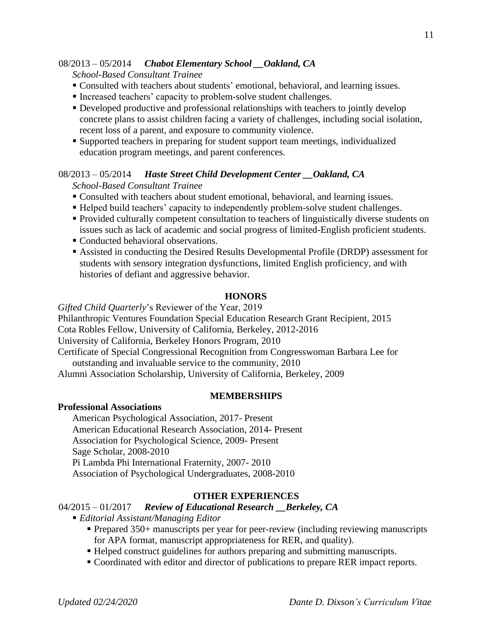# 08/2013 – 05/2014 *Chabot Elementary School \_\_Oakland, CA*

*School-Based Consultant Trainee*

- Consulted with teachers about students' emotional, behavioral, and learning issues.
- Increased teachers' capacity to problem-solve student challenges.
- Developed productive and professional relationships with teachers to jointly develop concrete plans to assist children facing a variety of challenges, including social isolation, recent loss of a parent, and exposure to community violence.
- Supported teachers in preparing for student support team meetings, individualized education program meetings, and parent conferences.

# 08/2013 – 05/2014 *Haste Street Child Development Center \_\_Oakland, CA School-Based Consultant Trainee*

- Consulted with teachers about student emotional, behavioral, and learning issues.
- Helped build teachers' capacity to independently problem-solve student challenges.
- Provided culturally competent consultation to teachers of linguistically diverse students on issues such as lack of academic and social progress of limited-English proficient students.
- Conducted behavioral observations.
- Assisted in conducting the Desired Results Developmental Profile (DRDP) assessment for students with sensory integration dysfunctions, limited English proficiency, and with histories of defiant and aggressive behavior.

# **HONORS**

*Gifted Child Quarterly*'s Reviewer of the Year, 2019 Philanthropic Ventures Foundation Special Education Research Grant Recipient, 2015 Cota Robles Fellow, University of California, Berkeley, 2012-2016 University of California, Berkeley Honors Program, 2010 Certificate of Special Congressional Recognition from Congresswoman Barbara Lee for outstanding and invaluable service to the community, 2010 Alumni Association Scholarship, University of California, Berkeley, 2009

#### **MEMBERSHIPS**

#### **Professional Associations**

American Psychological Association, 2017- Present American Educational Research Association, 2014- Present Association for Psychological Science, 2009- Present Sage Scholar, 2008-2010 Pi Lambda Phi International Fraternity, 2007- 2010 Association of Psychological Undergraduates, 2008-2010

# **OTHER EXPERIENCES**

#### 04/2015 – 01/2017 *Review of Educational Research \_\_Berkeley, CA*

- *Editorial Assistant/Managing Editor* 
	- Prepared 350+ manuscripts per year for peer-review (including reviewing manuscripts for APA format, manuscript appropriateness for RER, and quality).
	- Helped construct guidelines for authors preparing and submitting manuscripts.
	- Coordinated with editor and director of publications to prepare RER impact reports.